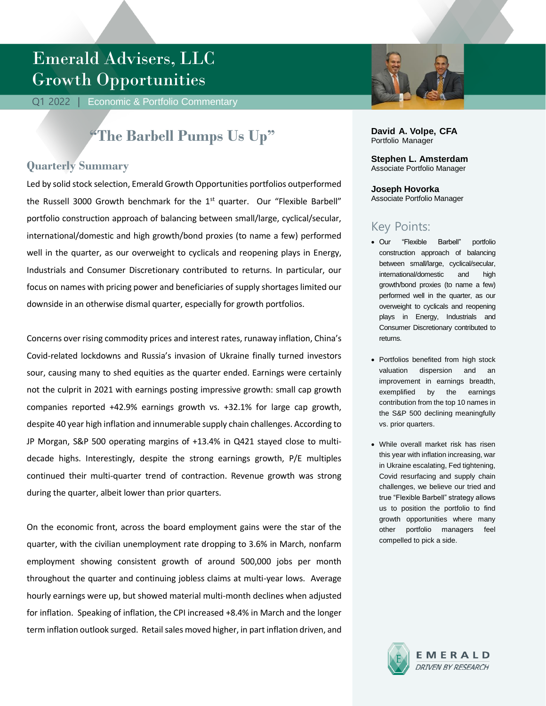# Emerald Advisers, LLC Growth Opportunities

Q1 2022 | Economic & Portfolio Commentary

## **"The Barbell Pumps Us Up"**

### **Quarterly Summary**

Led by solid stock selection, Emerald Growth Opportunities portfolios outperformed the Russell 3000 Growth benchmark for the  $1<sup>st</sup>$  quarter. Our "Flexible Barbell" portfolio construction approach of balancing between small/large, cyclical/secular, international/domestic and high growth/bond proxies (to name a few) performed well in the quarter, as our overweight to cyclicals and reopening plays in Energy, Industrials and Consumer Discretionary contributed to returns. In particular, our focus on names with pricing power and beneficiaries of supply shortages limited our downside in an otherwise dismal quarter, especially for growth portfolios.

Concerns over rising commodity prices and interest rates, runaway inflation, China's Covid-related lockdowns and Russia's invasion of Ukraine finally turned investors sour, causing many to shed equities as the quarter ended. Earnings were certainly not the culprit in 2021 with earnings posting impressive growth: small cap growth companies reported +42.9% earnings growth vs. +32.1% for large cap growth, despite 40 year high inflation and innumerable supply chain challenges. According to JP Morgan, S&P 500 operating margins of +13.4% in Q421 stayed close to multidecade highs. Interestingly, despite the strong earnings growth, P/E multiples continued their multi-quarter trend of contraction. Revenue growth was strong during the quarter, albeit lower than prior quarters.

On the economic front, across the board employment gains were the star of the quarter, with the civilian unemployment rate dropping to 3.6% in March, nonfarm employment showing consistent growth of around 500,000 jobs per month throughout the quarter and continuing jobless claims at multi-year lows. Average hourly earnings were up, but showed material multi-month declines when adjusted for inflation. Speaking of inflation, the CPI increased +8.4% in March and the longer term inflation outlook surged. Retail sales moved higher, in part inflation driven, and



**David A. Volpe, CFA** Portfolio Manager

**Stephen L. Amsterdam** Associate Portfolio Manager

**Joseph Hovorka** Associate Portfolio Manager

## Key Points:

- Our "Flexible Barbell" portfolio construction approach of balancing between small/large, cyclical/secular, international/domestic and high growth/bond proxies (to name a few) performed well in the quarter, as our overweight to cyclicals and reopening plays in Energy, Industrials and Consumer Discretionary contributed to returns.
- Portfolios benefited from high stock valuation dispersion and an improvement in earnings breadth, exemplified by the earnings contribution from the top 10 names in the S&P 500 declining meaningfully vs. prior quarters.
- While overall market risk has risen this year with inflation increasing, war in Ukraine escalating, Fed tightening, Covid resurfacing and supply chain challenges, we believe our tried and true "Flexible Barbell" strategy allows us to position the portfolio to find growth opportunities where many other portfolio managers feel compelled to pick a side.

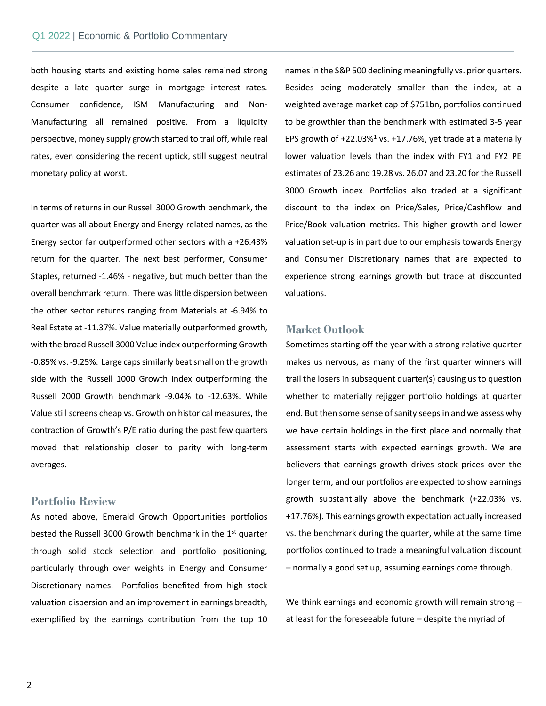Commentary

both housing starts and existing home sales remained strong despite a late quarter surge in mortgage interest rates. Consumer confidence, ISM Manufacturing and Non-Manufacturing all remained positive. From a liquidity perspective, money supply growth started to trail off, while real rates, even considering the recent uptick, still suggest neutral monetary policy at worst.

In terms of returns in our Russell 3000 Growth benchmark, the quarter was all about Energy and Energy-related names, as the Energy sector far outperformed other sectors with a +26.43% return for the quarter. The next best performer, Consumer Staples, returned -1.46% - negative, but much better than the overall benchmark return. There was little dispersion between the other sector returns ranging from Materials at -6.94% to Real Estate at -11.37%. Value materially outperformed growth, with the broad Russell 3000 Value index outperforming Growth -0.85% vs. -9.25%. Large caps similarly beat small on the growth side with the Russell 1000 Growth index outperforming the Russell 2000 Growth benchmark -9.04% to -12.63%. While Value still screens cheap vs. Growth on historical measures, the contraction of Growth's P/E ratio during the past few quarters moved that relationship closer to parity with long-term averages.

#### **Portfolio Review**

As noted above, Emerald Growth Opportunities portfolios bested the Russell 3000 Growth benchmark in the 1<sup>st</sup> quarter through solid stock selection and portfolio positioning, particularly through over weights in Energy and Consumer Discretionary names. Portfolios benefited from high stock valuation dispersion and an improvement in earnings breadth, exemplified by the earnings contribution from the top 10 names in the S&P 500 declining meaningfully vs. prior quarters. Besides being moderately smaller than the index, at a weighted average market cap of \$751bn, portfolios continued to be growthier than the benchmark with estimated 3-5 year EPS growth of  $+22.03\%$ <sup>1</sup> vs.  $+17.76\%$ , yet trade at a materially lower valuation levels than the index with FY1 and FY2 PE estimates of 23.26 and 19.28 vs. 26.07 and 23.20 for the Russell 3000 Growth index. Portfolios also traded at a significant discount to the index on Price/Sales, Price/Cashflow and Price/Book valuation metrics. This higher growth and lower valuation set-up is in part due to our emphasis towards Energy and Consumer Discretionary names that are expected to experience strong earnings growth but trade at discounted valuations.

#### **Market Outlook**

Sometimes starting off the year with a strong relative quarter makes us nervous, as many of the first quarter winners will trail the losers in subsequent quarter(s) causing us to question whether to materially rejigger portfolio holdings at quarter end. But then some sense of sanity seeps in and we assess why we have certain holdings in the first place and normally that assessment starts with expected earnings growth. We are believers that earnings growth drives stock prices over the longer term, and our portfolios are expected to show earnings growth substantially above the benchmark (+22.03% vs. +17.76%). This earnings growth expectation actually increased vs. the benchmark during the quarter, while at the same time portfolios continued to trade a meaningful valuation discount – normally a good set up, assuming earnings come through.

We think earnings and economic growth will remain strong at least for the foreseeable future – despite the myriad of

 $\overline{\phantom{a}}$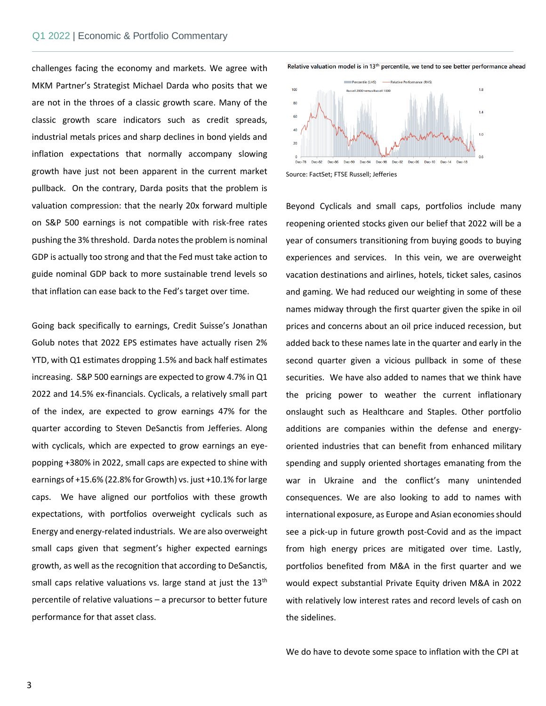Commentary

challenges facing the economy and markets. We agree with MKM Partner's Strategist Michael Darda who posits that we are not in the throes of a classic growth scare. Many of the classic growth scare indicators such as credit spreads, industrial metals prices and sharp declines in bond yields and inflation expectations that normally accompany slowing growth have just not been apparent in the current market pullback. On the contrary, Darda posits that the problem is valuation compression: that the nearly 20x forward multiple on S&P 500 earnings is not compatible with risk-free rates pushing the 3% threshold. Darda notes the problem is nominal GDP is actually too strong and that the Fed must take action to guide nominal GDP back to more sustainable trend levels so that inflation can ease back to the Fed's target over time.

Going back specifically to earnings, Credit Suisse's Jonathan Golub notes that 2022 EPS estimates have actually risen 2% YTD, with Q1 estimates dropping 1.5% and back half estimates increasing. S&P 500 earnings are expected to grow 4.7% in Q1 2022 and 14.5% ex-financials. Cyclicals, a relatively small part of the index, are expected to grow earnings 47% for the quarter according to Steven DeSanctis from Jefferies. Along with cyclicals, which are expected to grow earnings an eyepopping +380% in 2022, small caps are expected to shine with earnings of +15.6% (22.8% for Growth) vs. just +10.1% for large caps. We have aligned our portfolios with these growth expectations, with portfolios overweight cyclicals such as Energy and energy-related industrials. We are also overweight small caps given that segment's higher expected earnings growth, as well as the recognition that according to DeSanctis, small caps relative valuations vs. large stand at just the 13<sup>th</sup> percentile of relative valuations – a precursor to better future performance for that asset class.

Relative valuation model is in 13<sup>th</sup> percentile, we tend to see better performance ahead



Beyond Cyclicals and small caps, portfolios include many reopening oriented stocks given our belief that 2022 will be a year of consumers transitioning from buying goods to buying experiences and services. In this vein, we are overweight vacation destinations and airlines, hotels, ticket sales, casinos and gaming. We had reduced our weighting in some of these names midway through the first quarter given the spike in oil prices and concerns about an oil price induced recession, but added back to these names late in the quarter and early in the second quarter given a vicious pullback in some of these securities. We have also added to names that we think have the pricing power to weather the current inflationary onslaught such as Healthcare and Staples. Other portfolio additions are companies within the defense and energyoriented industries that can benefit from enhanced military spending and supply oriented shortages emanating from the war in Ukraine and the conflict's many unintended consequences. We are also looking to add to names with international exposure, as Europe and Asian economies should see a pick-up in future growth post-Covid and as the impact from high energy prices are mitigated over time. Lastly, portfolios benefited from M&A in the first quarter and we would expect substantial Private Equity driven M&A in 2022 with relatively low interest rates and record levels of cash on the sidelines.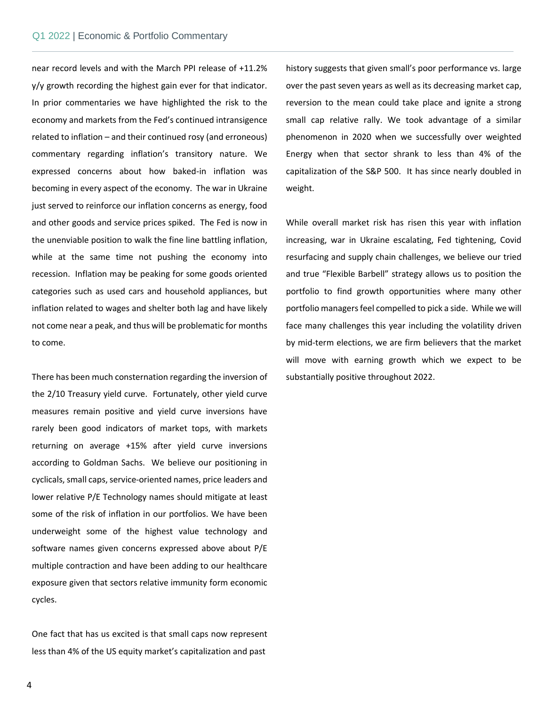Commentary

near record levels and with the March PPI release of +11.2% y/y growth recording the highest gain ever for that indicator. In prior commentaries we have highlighted the risk to the economy and markets from the Fed's continued intransigence related to inflation – and their continued rosy (and erroneous) commentary regarding inflation's transitory nature. We expressed concerns about how baked-in inflation was becoming in every aspect of the economy. The war in Ukraine just served to reinforce our inflation concerns as energy, food and other goods and service prices spiked. The Fed is now in the unenviable position to walk the fine line battling inflation, while at the same time not pushing the economy into recession. Inflation may be peaking for some goods oriented categories such as used cars and household appliances, but inflation related to wages and shelter both lag and have likely not come near a peak, and thus will be problematic for months to come.

There has been much consternation regarding the inversion of the 2/10 Treasury yield curve. Fortunately, other yield curve measures remain positive and yield curve inversions have rarely been good indicators of market tops, with markets returning on average +15% after yield curve inversions according to Goldman Sachs. We believe our positioning in cyclicals, small caps, service-oriented names, price leaders and lower relative P/E Technology names should mitigate at least some of the risk of inflation in our portfolios. We have been underweight some of the highest value technology and software names given concerns expressed above about P/E multiple contraction and have been adding to our healthcare exposure given that sectors relative immunity form economic cycles.

One fact that has us excited is that small caps now represent less than 4% of the US equity market's capitalization and past

history suggests that given small's poor performance vs. large over the past seven years as well as its decreasing market cap, reversion to the mean could take place and ignite a strong small cap relative rally. We took advantage of a similar phenomenon in 2020 when we successfully over weighted Energy when that sector shrank to less than 4% of the capitalization of the S&P 500. It has since nearly doubled in weight.

While overall market risk has risen this year with inflation increasing, war in Ukraine escalating, Fed tightening, Covid resurfacing and supply chain challenges, we believe our tried and true "Flexible Barbell" strategy allows us to position the portfolio to find growth opportunities where many other portfolio managers feel compelled to pick a side. While we will face many challenges this year including the volatility driven by mid-term elections, we are firm believers that the market will move with earning growth which we expect to be substantially positive throughout 2022.